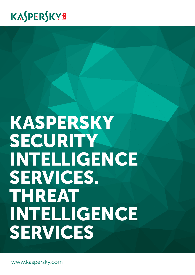## KASPERSKYS

# Kaspersky SECURITY Intelligence Services. Threat Intelligence Services

www.kaspersky.com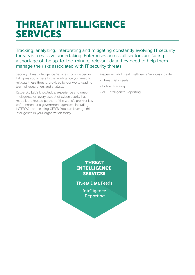### THREAT INTELLIGENCE SERVICES

Tracking, analyzing, interpreting and mitigating constantly evolving IT security threats is a massive undertaking. Enterprises across all sectors are facing a shortage of the up-to-the-minute, relevant data they need to help them manage the risks associated with IT security threats.

Security Threat Intelligence Services from Kaspersky Lab gives you access to the intelligence you need to mitigate these threats, provided by our world-leading team of researchers and analysts.

Kaspersky Lab's knowledge, experience and deep intelligence on every aspect of cybersecurity has made it the trusted partner of the world's premier law enforcement and government agencies, including INTERPOL and leading CERTs. You can leverage this intelligence in your organization today.

Kaspersky Lab Threat Intelligence Services include:

- Threat Data Feeds
- Botnet Tracking
- APT Intelligence Reporting

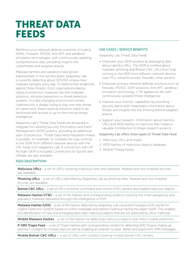### THREAT DATA FEEDS

Reinforce your network defense solutions, including SIEMs, Firewalls, IPS/IDS, Anti-APT and sandbox/ simulation technologies, with continuously updating, comprehensive data, providing insights into cyberthreats and targeted attacks.

Malware families and variations have grown exponentially in the last few years; Kaspersky Lab is currently detecting about 325,000 unique new malware samples every day. To defend their endpoints against these threats, most organizations deploy classical protection measures like anti-malware solutions, intrusion prevention or threat detection systems. In a fast-changing environment where cybersecurity is always trying to stay one step ahead of cybercrime, these classical solutions need to be reinforced with access to up-to-the-minute threat intelligence.

Kaspersky Lab's Threat Data Feeds are designed to integrate into existing Security Information and Event Management (SIEM) systems, providing an additional layer of protection. Threat Data Feed integration makes it possible, for example, to correlate the logs coming to the SIEM from different network devices with the URL feeds from Kaspersky Lab. A connection with HP ArcSight SIEM is included. Connectors for Splunk and QRadar are also available.

#### USE CASES / SERVICE BENEFITS

Kaspersky Lab Threat Data Feeds:

- Empower your SIEM solution by leveraging data about harmful URLs. The SIEM is notified about malware, phishing and Botnet C&C URLs from logs coming to the SIEM from different network devices (user PCs, network proxies, firewalls, other servers)
- Empower primary network defense solutions such as firewalls, IPS/IDS, SIEM solutions, Anti-APT, sandbox/ simulation technology, UTM appliances etc with continuously updated threat intelligence
- Improve your forensic capabilities by providing security teams with meaningful information about threats and insights into the thinking behind targeted attacks
- Support your research. Information about harmful URLs and MD5 hashes of malicious files makes a valuable contribution to threat research projects

#### Kaspersky Lab offers three types of Threat Data Feed:

- 1. Malicious URLs and masks
- 2. MD5 hashes of malicious objects database
- 3. Mobile Thread Feeds

#### FEED DESCRIPTION

Malicious URLs - a set of URLs covering malicious links and websites. Masked and non-masked records are available.

**Phishing URLs** – a set of URLs identified by Kaspersky Lab as phishing sites. Masked and non-masked records are available.

Botnet C&C URLs – a set of URLs of botnet command and control (C&C) servers and related malicious objects.

Malware Hashes (ITW) – a set of file hashes and corresponding verdicts covering the most dangerous and prevalent malware delivered through the intelligence of KSN.

Malware Hashes (UDS) – a set of file hashes detected by Kaspersky Lab cloud technologies (UDS stands for Urgent Detection System) based on a file's metadata and statistics (without having the object itself). This enables the identification of new and emerging (zero-day) malicious objects that are not detected by other methods.

Mobile Malware Hashes - a set of file hashes for detecting malicious objects that infect mobile platforms.

**P-SMS Trojan Feed** — a set of Trojan hashes with corresponding context for detecting SMS Trojans ringing up premium charges for mobile users as well as enabling an attacker to steal, delete and respond to SMS messages.

**Mobile Botnet C&C URLs**  $-$  a set of URLs with context covering mobile botnet C&C servers.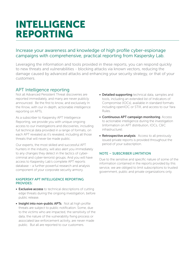### INTELLIGENCE Reporting

#### Increase your awareness and knowledge of high profile cyber-espionage campaigns with comprehensive, practical reporting from Kaspersky Lab.

Leveraging the information and tools provided in these reports, you can respond quickly to new threats and vulnerabilities - blocking attacks via known vectors, reducing the damage caused by advanced attacks and enhancing your security strategy, or that of your customers.

#### APT Intelligence reporting

Not all Advanced Persistent Threat discoveries are reported immediately, and many are never publicly announced. Be the first to know, and exclusively In the Know, with our in-depth, actionable intelligence reporting on APTs.

As a subscriber to Kaspersky APT Intelligence Reporting, we provide you with unique ongoing access to our investigations and discoveries, including full technical data provided in a range of formats, on each APT revealed as it's revealed, including all those threats that will never be made public.

Our experts, the most skilled and successful APT hunters in the industry, will also alert you immediately to any changes they detect in the tactics of cybercriminal and cyber-terrorist groups. And you will have access to Kaspersky Lab's complete APT reports database – a further powerful research and analysis component of your corporate security armory.

#### Kaspersky APT Intelligence Reporting PROVIDES:

- Exclusive access to technical descriptions of cutting edge threats during the ongoing investigation, before public release.
- Insight into non-public APTs. Not all high profile threats are subject to public notification. Some, due to the victims who are impacted, the sensitivity of the data, the nature of the vulnerability fixing process or associated law enforcement activity, are never made public. But all are reported to our customers.
- Detailed supporting technical data, samples and tools, including an extended list of Indicators of Compromise (IOCs), available in standard formats including openIOC or STIX, and access to our Yara Rules.
- Continuous APT campaign monitoring. Access to actionable intelligence during the investigation (information on APT distribution, IOCs, C&C infrastructure).
- Retrospective analysis. Access to all previously issued private reports is provided throughout the period of your subscription.

#### NOTE – Subscriber Limitation

Due to the sensitive and specific nature of some of the information contained in the reports provided by this service, we are obliged to limit subscriptions to trusted government, public and private organizations only.